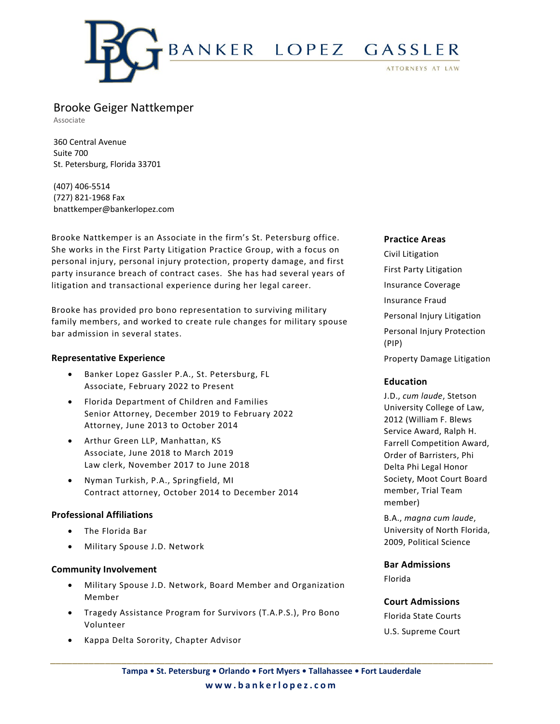

# Brooke Geiger Nattkemper

Associate

360 Central Avenue Suite 700 St. Petersburg, Florida 33701

(407) 406-5514 (727) 821-1968 Fax bnattkemper@bankerlopez.com

Brooke Nattkemper is an Associate in the firm's St. Petersburg office. She works in the First Party Litigation Practice Group, with a focus on personal injury, personal injury protection, property damage, and first party insurance breach of contract cases. She has had several years of litigation and transactional experience during her legal career.

Brooke has provided pro bono representation to surviving military family members, and worked to create rule changes for military spouse bar admission in several states.

## **Representative Experience**

- Banker Lopez Gassler P.A., St. Petersburg, FL Associate, February 2022 to Present
- Florida Department of Children and Families Senior Attorney, December 2019 to February 2022 Attorney, June 2013 to October 2014
- Arthur Green LLP, Manhattan, KS Associate, June 2018 to March 2019 Law clerk, November 2017 to June 2018
- Nyman Turkish, P.A., Springfield, MI Contract attorney, October 2014 to December 2014

# **Professional Affiliations**

- The Florida Bar
- Military Spouse J.D. Network

#### **Community Involvement**

- Military Spouse J.D. Network, Board Member and Organization Member
- Tragedy Assistance Program for Survivors (T.A.P.S.), Pro Bono Volunteer
- Kappa Delta Sorority, Chapter Advisor

## **Practice Areas**

Civil Litigation First Party Litigation Insurance Coverage Insurance Fraud Personal Injury Litigation Personal Injury Protection (PIP) Property Damage Litigation

#### **Education**

J.D., *cum laude*, Stetson University College of Law, 2012 (William F. Blews Service Award, Ralph H. Farrell Competition Award, Order of Barristers, Phi Delta Phi Legal Honor Society, Moot Court Board member, Trial Team member)

B.A., *magna cum laude*, University of North Florida, 2009, Political Science

**Bar Admissions** Florida

## **Court Admissions**

Florida State Courts U.S. Supreme Court

**\_\_\_\_\_\_\_\_\_\_\_\_\_\_\_\_\_\_\_\_\_\_\_\_\_\_\_\_\_\_\_\_\_\_\_\_\_\_\_\_\_\_\_\_\_\_\_\_\_\_\_\_\_\_\_\_\_\_\_\_\_\_\_\_\_\_\_\_\_\_\_\_\_\_\_\_\_\_\_\_\_**